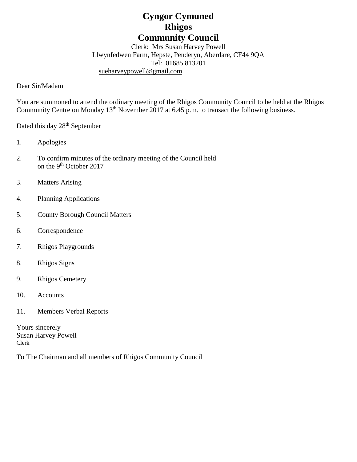# **Cyngor Cymuned Rhigos Community Council**

Clerk: Mrs Susan Harvey Powell Llwynfedwen Farm, Hepste, Penderyn, Aberdare, CF44 9QA Tel: 01685 813201 [sueharveypowell@g](mailto:sharveypowell@comin-infants.co.uk)mail.com

Dear Sir/Madam

You are summoned to attend the ordinary meeting of the Rhigos Community Council to be held at the Rhigos Community Centre on Monday 13<sup>th</sup> November 2017 at 6.45 p.m. to transact the following business.

Dated this day 28<sup>th</sup> September

- 1. Apologies
- 2. To confirm minutes of the ordinary meeting of the Council held on the 9<sup>th</sup> October 2017
- 3. Matters Arising
- 4. Planning Applications
- 5. County Borough Council Matters
- 6. Correspondence
- 7. Rhigos Playgrounds
- 8. Rhigos Signs
- 9. Rhigos Cemetery
- 10. Accounts
- 11. Members Verbal Reports

Yours sincerely Susan Harvey Powell Clerk

To The Chairman and all members of Rhigos Community Council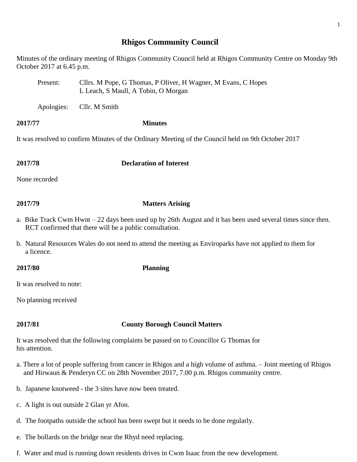# **Rhigos Community Council**

Minutes of the ordinary meeting of Rhigos Community Council held at Rhigos Community Centre on Monday 9th October 2017 at 6.45 p.m.

| Present: | Cllrs. M Pope, G Thomas, P Oliver, H Wagner, M Evans, C Hopes |
|----------|---------------------------------------------------------------|
|          | L Leach, S Maull, A Tobin, O Morgan                           |

Apologies: Cllr. M Smith

# **2017/77 Minutes**

It was resolved to confirm Minutes of the Ordinary Meeting of the Council held on 9th October 2017

**2017/78 Declaration of Interest**

None recorded

# **2017/79 Matters Arising**

- a. Bike Track Cwm Hwnt 22 days been used up by 26th August and it has been used several times since then. RCT confirmed that there will be a public consultation.
- b. Natural Resources Wales do not need to attend the meeting as Enviroparks have not applied to them for a licence.

### **2017/80 Planning**

It was resolved to note:

No planning received

# **2017/81 County Borough Council Matters**

It was resolved that the following complaints be passed on to Councillor G Thomas for his attention.

- a. There a lot of people suffering from cancer in Rhigos and a high volume of asthma. Joint meeting of Rhigos and Hirwaun & Penderyn CC on 28th November 2017, 7.00 p.m. Rhigos community centre.
- b. Japanese knotweed the 3 sites have now been treated.
- c. A light is out outside 2 Glan yr Afon.
- d. The footpaths outside the school has been swept but it needs to be done regularly.
- e. The bollards on the bridge near the Rhyd need replacing.
- f. Water and mud is running down residents drives in Cwm Isaac from the new development.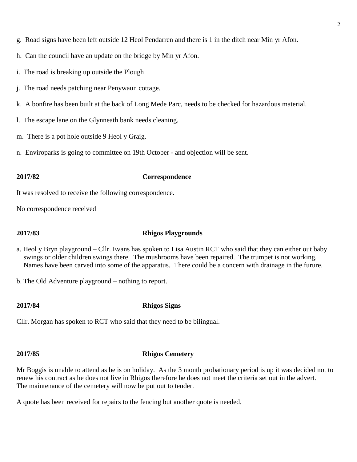- g. Road signs have been left outside 12 Heol Pendarren and there is 1 in the ditch near Min yr Afon.
- h. Can the council have an update on the bridge by Min yr Afon.
- i. The road is breaking up outside the Plough
- j. The road needs patching near Penywaun cottage.
- k. A bonfire has been built at the back of Long Mede Parc, needs to be checked for hazardous material.
- l. The escape lane on the Glynneath bank needs cleaning.
- m. There is a pot hole outside 9 Heol y Graig.
- n. Enviroparks is going to committee on 19th October and objection will be sent.

### **2017/82 Correspondence**

It was resolved to receive the following correspondence.

No correspondence received

### **2017/83 Rhigos Playgrounds**

a. Heol y Bryn playground – Cllr. Evans has spoken to Lisa Austin RCT who said that they can either out baby swings or older children swings there. The mushrooms have been repaired. The trumpet is not working. Names have been carved into some of the apparatus. There could be a concern with drainage in the furure.

b. The Old Adventure playground – nothing to report.

# **2017/84 Rhigos Signs**

Cllr. Morgan has spoken to RCT who said that they need to be bilingual.

### **2017/85 Rhigos Cemetery**

Mr Boggis is unable to attend as he is on holiday. As the 3 month probationary period is up it was decided not to renew his contract as he does not live in Rhigos therefore he does not meet the criteria set out in the advert. The maintenance of the cemetery will now be put out to tender.

A quote has been received for repairs to the fencing but another quote is needed.